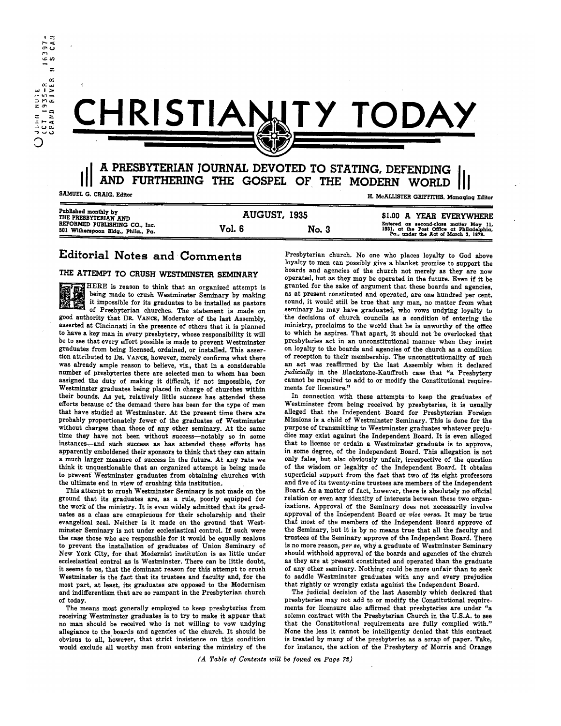

# ..., ..... v CHRISTIA\O!Y **TODAY**

## III A PRESBYTERIAN JOURNAL DEVOTED TO STATING, DEFENDING<br>
SAMUEL G. CRAIG, Editor<br>
SAMUEL G. CRAIG, Editor AND FURTHERING THE GOSPEL OF THE MODERN WORLD

H. McALLISTER GRIFFITHS. Managing Editor

| Published monthly by<br>THE PRESBYTERIAN AND<br>REFORMED PUBLISHING CO., Inc.<br>501 Witherspoon Bldg., Phila., Pa. | <b>AUGUST, 1935</b> |       | \$1.00 A YEAR EVERYWHERE                                                                                                    |
|---------------------------------------------------------------------------------------------------------------------|---------------------|-------|-----------------------------------------------------------------------------------------------------------------------------|
|                                                                                                                     | Vol. 6              | No. 3 | Entered as second-class matter May 11,<br>1931, at the Post Office at Philadelphia,<br>Pa., under the Act of March 3. 1879. |

### Editorial Notes and Comments

#### THE ATTEMPT TO CRUSH WESTMINSTER SEMINARY

HERE is reason to think that an organized attempt is being made to crush Westminster Seminary by making it impossible for its graduates to be installed as pastors of Presbyterian churches. The statement is made on good authority that DR. VANCE, Moderator of the last Assembly, asserted at Cincinnati in the presence of others that it is planned to have a key man in every presbytery, whose responsibility it will be to see that every effort possible is made to prevent Westminster graduates from being licensed, ordained, or installed.' This assertion attributed to DR. VANCE, however, merely confirms what there was already ample reason to believe, viz., that in a considerable number of presbyteries there are selected men to whom has been assigned the duty of making it difficult, if not impossible, for Westminster graduates being placed in charge of churches within their bounds. As yet, relatively little success has attended these efforts because of the demand there has been for the type of men that have studied at Westminster. At the present time there are probably proportionately fewer of the graduates of Westminster without charges than those of any other seminary. At the same time they have not been without success-notably so in some instances-and such success as has attended these efforts has apparently emboldened their sponsors to think that they can attain a much larger measure of success in the future. At any rate we think it unquestionable that an organized attempt is being made to prevent' Westminster graduates from obtaining churches with the ultimate end in view of crushing this institution.

This attempt to crush Westminster Seminary is not made on the ground that its graduates are, as a rule, poorly equipped for the work'of the ministry. It is even widely admitted that its graduates as a class are conspicuous for their scholarship and their evangelical zeal. Neither is it made on the ground that Westminster Seminary is not under ecclesiastical control. If such were the case those who are responsible for it would be equally zealous to prevent the installation of graduates of Union Seminary of New York City, for that Modernist institution is as little under ecclesiastical control as is Westminster. There can be little doubt, it seems to us, that the dominant reason for this attempt to crush Westminster is the fact that its trustees and faculty and, for the most part, at least, its graduates are opposed to the Modernism and indifferentism that are so rampant in the Presbyterian church of today.

The means most generally employed to keep presbyteries from receiving Westminster graduates is to try to make it appear that no man should be received who is not willing to vow undying allegiance to the boards and agencies of the church. It should be obvious to all, however, that strict insistence on this condition would exclude all worthy men from entering the ministry of the Presbyterian church. No one who places loyalty to God above loyalty to men can possibly give a blanket promise to support the boards and agencies of the church not merely as they are now operated, but as they may be operated in the future. Even if it be granted for the sake of argument that these boards and agencies, as at present constituted and operated, are one hundred per cent. sound, it would still be true that any man, no matter from what seminary he may have graduated, who vows undying loyalty to the decisions of church councils as a condition of entering the ministry, proclaims to the world that he is unworthy of the office to which he aspires. That apart, it should not 'be overlooked that presbyteries act in an unconstitutional manner when they insist on loyalty to the boards and agencies of the church as a condition of reception to their membership. The unconstitutionality of such an act was reaffirmed by the last Assembly when it declared *judicially* in the Blackstone-Kauffroth case that "a Presbytery cannot be required to add to or modify the Constitutional requirements for licensure."

In connection with these attempts to keep the graduates of Westminster from being received by presbyteries, it is usually alleged that the Independent Board for Presbyterian Foreign Missions is a child of Westminster Seminary. This is done for the purpose of transmitting to Westminster graduates whatever prejudice may exist against the Independent Board. It is even alleged that to license or ordain a Westminster graduate is to approve, in some degree, of the Independent Board. This allegation is not only false, but also obviously unfair, irrespective of the question of the wisdom or legality of the Independent Board. It obtains superficial support from the fact that two of its eight professors and five of its twenty-nine trustees are members of the Independent Board. As a matter of fact, however, there is absolutely no official relation or even any identity of interests between these two organizations. Approval of the Seminary does not necessarily involve approval of the Independent Board or *vice versa.* It may be true that most of the members of the Independent Board approve of the Seminary, but it is by no means true that all the faculty and trustees of the Seminary approve of the Independent Board. There is no more reason, *per se,* why a graduate of Westminster Seminary should withhold approval of the boards and agencies of the church as they are at present constituted and operated than the graduate of any other seminary. Nothing could be more unfair than to seek to saddle Westminster graduates with any and every prejudice that rightly or wrongly exists against the Independent Board.

The judicial decision of the last Assembly which declared that presbyteries may not add to or modify the Constitutional requirements for licensure also affirmed that presbyteries are under "a solemn contract with the Presbyterian Church in the U.S.A. to see that the Constitutional requirements are fully complied with." None the less it cannot be intelligently denied that this contract is treated by many of the presbyteries as a scrap of paper. Take, for instance, the action of the Presbytery of Morris and Orange

*(A Table of Contents will be found on Page 72)*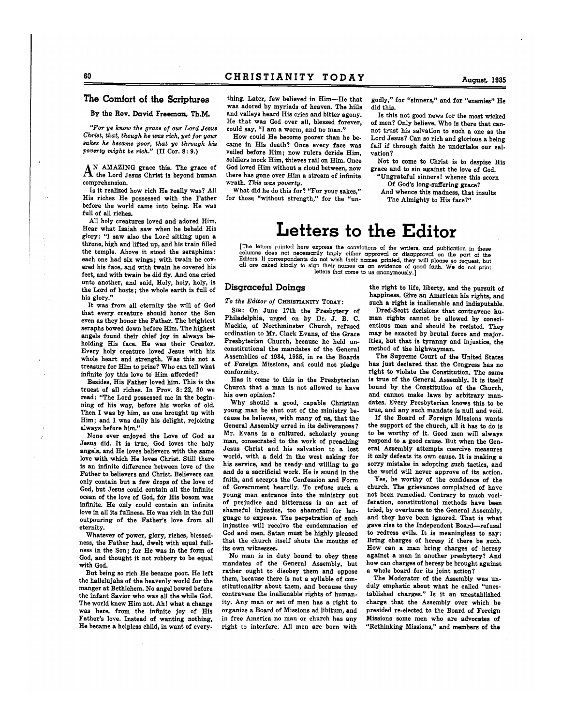#### **The Comfort of the Scriptures**

**By the Rev. David Freeman, Th.M.** 

*"For ye know the grace of our Lord Jesus Christ, that, though he was rich, yet for your sakes he became poor, that ye through his poverty might be rich."* (II Cor. 8: 9.)

 $A^N$  AMAZING grace this. The grace of the Lord Jesus Christ is beyond human comprehension.

Is it realized how rich He really was? All His riches He possessed with the Father before the world came into being. He was full of all riches.

All holy creatures loved and adored Him. Hear what Isaiah saw when he beheld His glory: "I saw also the Lord sitting upon a throne, high and lifted up, and his train filled the temple. Above it stood the seraphims: each one had six wings; with twain he covered his face,. and with twain he covered his feet, and with twain he did fiy. And one cried unto another, and said, Holy, holy, holy, is the Lord of hosts; the whole earth is full of his glory."

It was from all eternity the will of God that every creature should honor the Son even as they honor the Father. The brightest seraphs bowed down before Him. The highest angels found their chief joy in always beholding His face. He was their Creator. Every holy creature loved Jesus with his whole heart and strength. Was this not a treasure for Him to prize? Who can tell what infinite joy this love to Him afforded?

Besides, His Father loved him. This is the truest of all riches. In Prov.  $8: 22$ ,  $30$  we read: "The Lord possessed me in the beginning of his way, before his works of old. Then I was by him, as one brought up with Him; and I was daily his delight, rejoicing always before him."

None ever enjoyed the Love of God as Jesus did. It is true, God loves the holy angels, and He loves believers with the same love with which He loves Christ. Still there is an infinite difference between love of the Father to believers and Christ. Believers can only contain but a few drops of the love of God, but Jesus could contain all the infinite ocean of the love of God, for His bosom was infinite. He only could contain an infinite love in all its fullness. He was rich in the full outpouring of the Father's love from all eternity.

Whatever of power, glory, riches, blessedness, the Father had, dwelt with equal fullness in the Son; for He was in the form of God, and thought it not robbery to be equal with God.

But being so rich He became poor. He left the hallelujahs of the heavenly world for the manger at Bethlehem. No angel bowed before the infant Savior who was all the while God. The world knew Him not. Ah I what a change was here, from the infinite joy of His Father's love. Instead of wanting nothing, He became a helpless child, in want of every-

thing. Later, few believed in Him-He that was adored by myriads of heaven. The hills and valleys heard His cries and bitter agony. He that was God over all, blessed forever, could say, "I am a worm, and no man."

How could He become poorer than he became in His death? Once every face was veiled before Him; now rulers deride Him, soldiers mock Him, thieves rail on Him. Once God loved Him without a cloud between, now there has gone over Him a stream of infinite wrath. *This was poverty.* 

What did he do this for? "For your sakes," for those "without strength," for the "ungodly," for "sinners," and for "enemies" He did this.

Is this not good news for the most wicked of men? Only believe. Who is there that cannot trust his salvation to such a one as the Lord Jesus? Can so rich and glorious a being fail if through faith he undertake our salvation?

Not to come to Christ is to despise His grace and to sin against the love of God.

"Ungrateful sinners! whence this scorn Of God's long-suffering grace?

And Whence this madness, that insults The Almighty to His face?"

## **Letters to the Editor**

[The letters printed here express the convictions of the writers, and publication in these columns does not necessarily imply either approval or disapproval on the part of the<br>Editors. If correspondents do not wish their names printed, they will please so request, but all are asked kindly to sign their names as an evidence of good faith. We do letters that come to us anonymously.]

#### **Disqraceful Doinqs**

*To the Editor of* CHRISTIANITY TODAY:

SIR: On June 17th the Presbytery of Philadelphia, urged on by Dr. J. B. C. Mackie, of Northminster Church, refused ordination to Mr. Clark Evans, of the Grace Presbyterian Church, because he held unconstitutional the mandates of the General Assemblies of 1934, 1935, in re the Boards of Foreign Missions, and could not pledge conformity.

Has it come to this in the Presbyterian Church that a man is not allowed to have his own opinion?

Why should a good, capable Christian young man be shut out of the ministry because he believes, with many of us, that the General Assembly erred in its deliverances? Mr. Evans is a cultured, scholarly young man, consecrated to the work of preaching Jesus Christ and his salvation to a lost world, with a field in the west asking for his service, and he ready and willing to go and do a sacrificial work. He is sound in the faith, and accepts the Confession and Form of Government heartily. To refuse such a young man entrance into the ministry out of prejudice and bitterness is an act of shameful injustice, too shameful for language to express. The perpetration of such injustice will receive the condemnation of God and men. Satan must be highly pleased that the church itself shuts the mouths of its own witnesses.

No man is in duty bound to obey these mandates of the General Assembly, but rather ought to disobey them and oppose them, because there is not a syllable of constitutionality about them, and because they contravene the inalienable rights of humanity. Any man or set of men has a right to organize a Board of Missions ad libitum, and in free America no man or church has any right to interfere. All men are born with

the right to life, liberty, and the pursuit of happiness. Give an American his rights, and such a right is inalienable and indisputable.

Dred-Scott decisions that contravene human rights cannot be allowed by conscientious men and should be resisted. They may be exacted by brutal force and majorities, but that is tyranny and injustice, the method of the highwayman.

The SUpreme Court of the United States has just declared that the Congress has no right to violate the Constitution. The same is true of the General Assembly. It is itself bound by the Constitution of the Church. and cannot make laws by arbitrary mandates. Every Presbyterian knows this to be true, and any such mandate is null and void.

If the Board of Foreign Missions wants the support of the church, all it has to do is to be worthy of it. Good men will always respond to a good cause. But when the General Assembly attempts coercive measures it only defeats its own cause. It is making a sorry mistake in adopting such tactics, and the world will never approve of its action.

Yes, be worthy of the confidence of the church. The grievances complained of have not been remedied. Contrary to much vociferation, constitutional methods have been tried, by overtures to the General Assembly, and they have been ignored. That is what gave rise to the Independent Board-refusal to redress evils. It is meaningless to say: Bring charges of heresy if there be such. How can a man bring charges of heresy against a man in another presbytery? And how can charges of heresy be brought against a whole board for its joint action?

The Moderator of the Assembly was unduly emphatic about what he called "unestablished charges." Is it an unestablished charge that the Assembly over which he presided re-elected to the Board of Foreign Missions some men who are advocates of "Rethinking Missions," and members of the